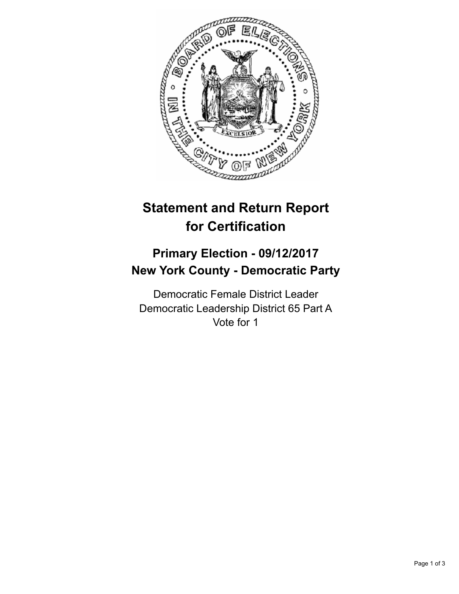

## **Statement and Return Report for Certification**

## **Primary Election - 09/12/2017 New York County - Democratic Party**

Democratic Female District Leader Democratic Leadership District 65 Part A Vote for 1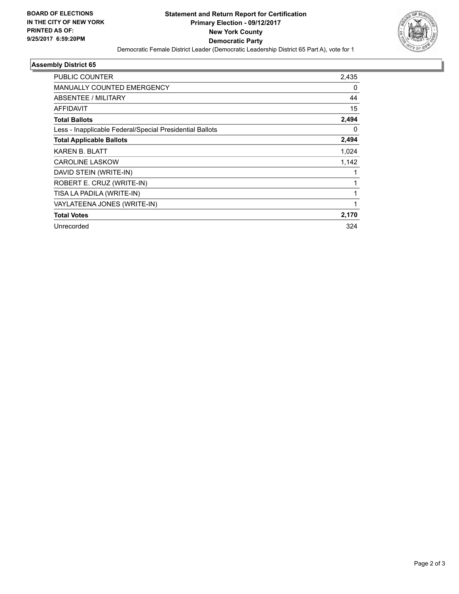

## **Assembly District 65**

| <b>PUBLIC COUNTER</b>                                    | 2,435 |
|----------------------------------------------------------|-------|
| <b>MANUALLY COUNTED EMERGENCY</b>                        | 0     |
| ABSENTEE / MILITARY                                      | 44    |
| <b>AFFIDAVIT</b>                                         | 15    |
| <b>Total Ballots</b>                                     | 2,494 |
| Less - Inapplicable Federal/Special Presidential Ballots | 0     |
| <b>Total Applicable Ballots</b>                          | 2,494 |
| KAREN B. BLATT                                           | 1,024 |
| <b>CAROLINE LASKOW</b>                                   | 1,142 |
| DAVID STEIN (WRITE-IN)                                   |       |
| ROBERT E. CRUZ (WRITE-IN)                                |       |
| TISA LA PADILA (WRITE-IN)                                |       |
| VAYLATEENA JONES (WRITE-IN)                              |       |
| <b>Total Votes</b>                                       | 2,170 |
| Unrecorded                                               | 324   |